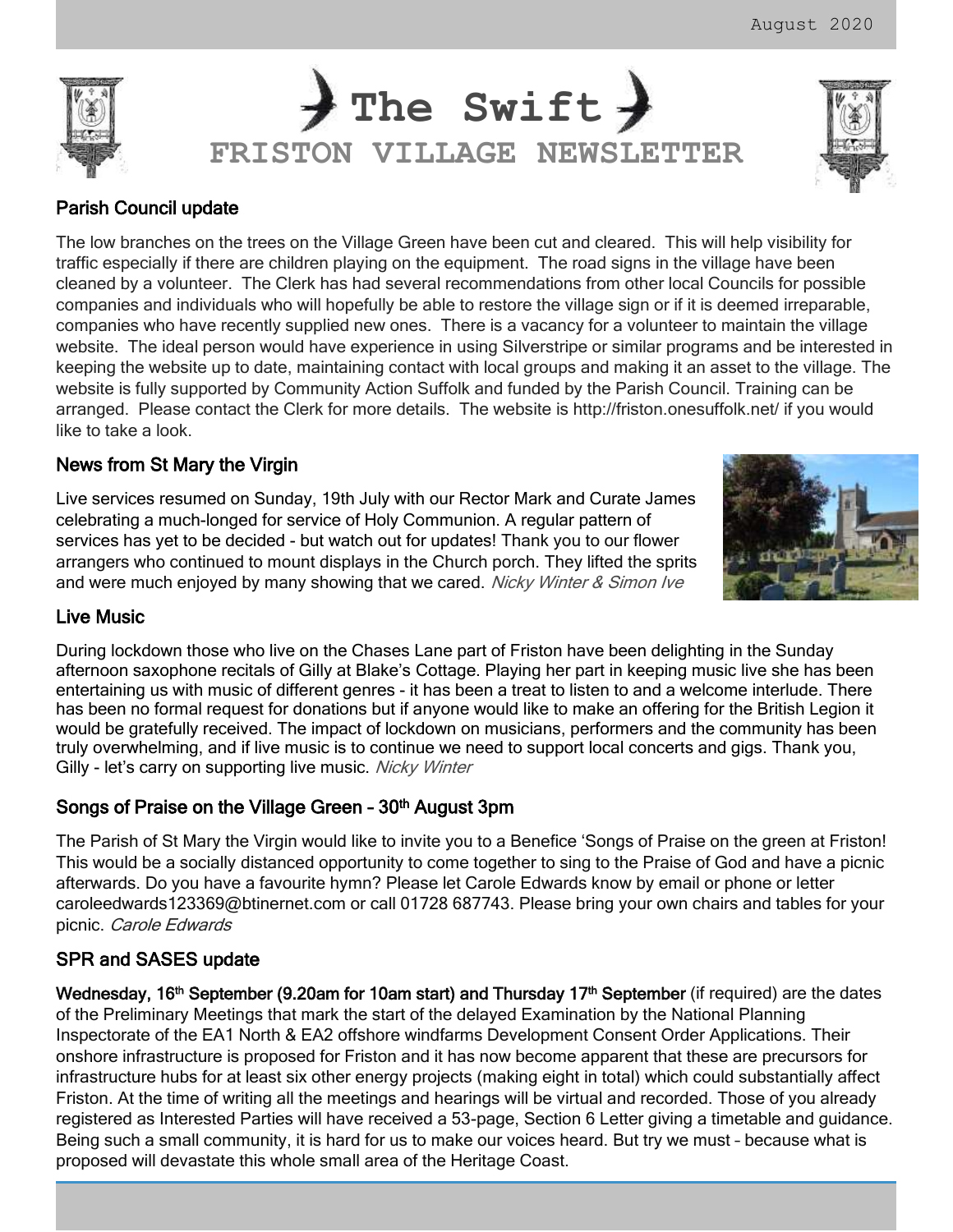

## Parish Council update

The low branches on the trees on the Village Green have been cut and cleared. This will help visibility for traffic especially if there are children playing on the equipment. The road signs in the village have been cleaned by a volunteer. The Clerk has had several recommendations from other local Councils for possible companies and individuals who will hopefully be able to restore the village sign or if it is deemed irreparable, companies who have recently supplied new ones. There is a vacancy for a volunteer to maintain the village website. The ideal person would have experience in using Silverstripe or similar programs and be interested in keeping the website up to date, maintaining contact with local groups and making it an asset to the village. The website is fully supported by Community Action Suffolk and funded by the Parish Council. Training can be arranged. Please contact the Clerk for more details. The website is<http://friston.onesuffolk.net/> if you would like to take a look.

## News from St Mary the Virgin

Live services resumed on Sunday, 19th July with our Rector Mark and Curate James celebrating a much-longed for service of Holy Communion. A regular pattern of services has yet to be decided - but watch out for updates! Thank you to our flower arrangers who continued to mount displays in the Church porch. They lifted the sprits and were much enjoyed by many showing that we cared. Nicky Winter & Simon Ive

# Live Music

During lockdown those who live on the Chases Lane part of Friston have been delighting in the Sunday afternoon saxophone recitals of Gilly at Blake's Cottage. Playing her part in keeping music live she has been entertaining us with music of different genres - it has been a treat to listen to and a welcome interlude. There has been no formal request for donations but if anyone would like to make an offering for the British Legion it would be gratefully received. The impact of lockdown on musicians, performers and the community has been truly overwhelming, and if live music is to continue we need to support local concerts and gigs. Thank you, Gilly - let's carry on supporting live music. Nicky Winter

# Songs of Praise on the Village Green - 30<sup>th</sup> August 3pm

The Parish of St Mary the Virgin would like to invite you to a Benefice 'Songs of Praise on the green at Friston! This would be a socially distanced opportunity to come together to sing to the Praise of God and have a picnic afterwards. Do you have a favourite hymn? Please let Carole Edwards know by email or phone or letter caroleedwards123369@btinernet.com or call 01728 687743. Please bring your own chairs and tables for your picnic. Carole Edwards

### SPR and SASES update

Wednesday, 16<sup>th</sup> September (9.20am for 10am start) and Thursday 17<sup>th</sup> September (if required) are the dates of the Preliminary Meetings that mark the start of the delayed Examination by the National Planning Inspectorate of the EA1 North & EA2 offshore windfarms Development Consent Order Applications. Their onshore infrastructure is proposed for Friston and it has now become apparent that these are precursors for infrastructure hubs for at least six other energy projects (making eight in total) which could substantially affect Friston. At the time of writing all the meetings and hearings will be virtual and recorded. Those of you already registered as Interested Parties will have received a 53-page, Section 6 Letter giving a timetable and guidance. Being such a small community, it is hard for us to make our voices heard. But try we must – because what is proposed will devastate this whole small area of the Heritage Coast.